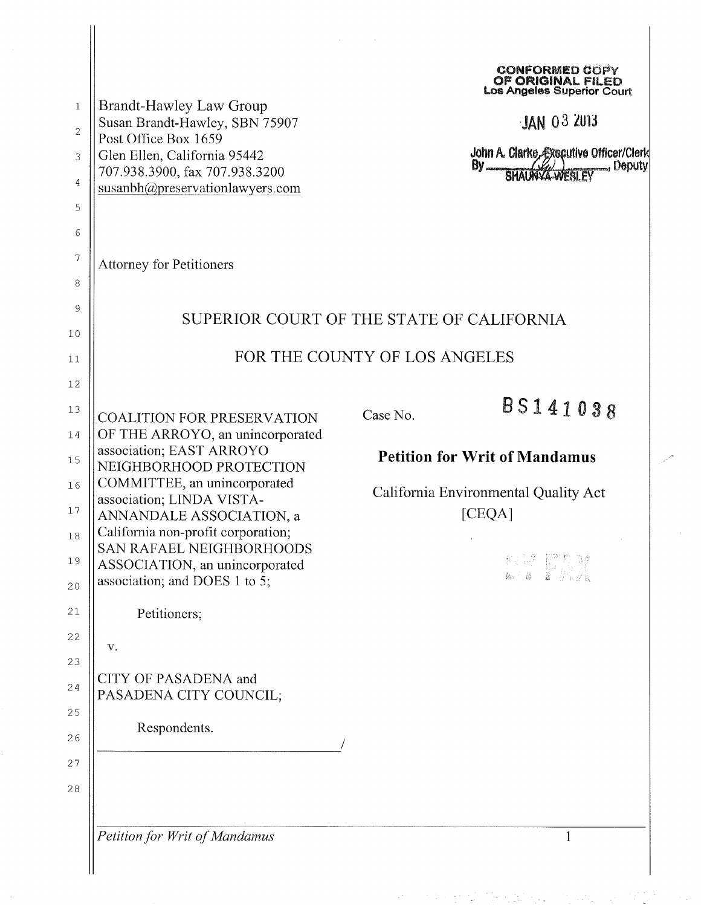| $\mathbf{1}$<br>$\overline{c}$<br>3<br>$\overline{4}$<br>5<br>6<br>$\gamma$<br>8<br>9<br>10<br>11<br>12 | <b>Brandt-Hawley Law Group</b><br>Susan Brandt-Hawley, SBN 75907<br>Post Office Box 1659<br>Glen Ellen, California 95442<br>707.938.3900, fax 707.938.3200<br>susanbh@preservationlawyers.com<br><b>Attorney for Petitioners</b><br>SUPERIOR COURT OF THE STATE OF CALIFORNIA                                             | FOR THE COUNTY OF LOS ANGELES                                                                                         | <b>CONFORMED COPY</b><br>OF ORIGINAL FILED<br>Los Angeles Superior Court<br><b>JAN 03 2013</b><br>John A. Clarke, Executive Officer/Clerk<br>By SHAUNYA WESLEY Deputy |
|---------------------------------------------------------------------------------------------------------|---------------------------------------------------------------------------------------------------------------------------------------------------------------------------------------------------------------------------------------------------------------------------------------------------------------------------|-----------------------------------------------------------------------------------------------------------------------|-----------------------------------------------------------------------------------------------------------------------------------------------------------------------|
| 13<br>14<br>15<br>16<br>17<br>$1\,8$<br>19                                                              | <b>COALITION FOR PRESERVATION</b><br>OF THE ARROYO, an unincorporated<br>association; EAST ARROYO<br>NEIGHBORHOOD PROTECTION<br>COMMITTEE, an unincorporated<br>association; LINDA VISTA-<br>ANNANDALE ASSOCIATION, a<br>California non-profit corporation;<br>SAN RAFAEL NEIGHBORHOODS<br>ASSOCIATION, an unincorporated | BS141038<br>Case No.<br><b>Petition for Writ of Mandamus</b><br>California Environmental Quality Act<br>[CEQA]<br>教会學 |                                                                                                                                                                       |
| 20<br>21<br>22<br>23<br>24<br>25                                                                        | association; and DOES 1 to 5;<br>Petitioners;<br>V.<br>CITY OF PASADENA and<br>PASADENA CITY COUNCIL;                                                                                                                                                                                                                     |                                                                                                                       |                                                                                                                                                                       |
| 26<br>27<br>$2\,8$                                                                                      | Respondents.<br>Petition for Writ of Mandamus                                                                                                                                                                                                                                                                             |                                                                                                                       | $\mathbf{1}$                                                                                                                                                          |

 $\frac{1}{\sqrt{2}}$ 

 $\mathcal{A}^{\mathcal{A}}_{\mathcal{A}}=\mathcal{A}^{\mathcal{A}}_{\mathcal{A}}\mathcal{A}^{\mathcal{A}}_{\mathcal{A}}\mathcal{A}^{\mathcal{A}}_{\mathcal{A}}\mathcal{A}^{\mathcal{A}}_{\mathcal{A}}\mathcal{A}^{\mathcal{A}}_{\mathcal{A}}\mathcal{A}^{\mathcal{A}}_{\mathcal{A}}\mathcal{A}^{\mathcal{A}}_{\mathcal{A}}\mathcal{A}^{\mathcal{A}}_{\mathcal{A}}\mathcal{A}^{\mathcal{A}}_{\mathcal{A}}\mathcal{A}^{\mathcal{A}}_{\mathcal{A}}$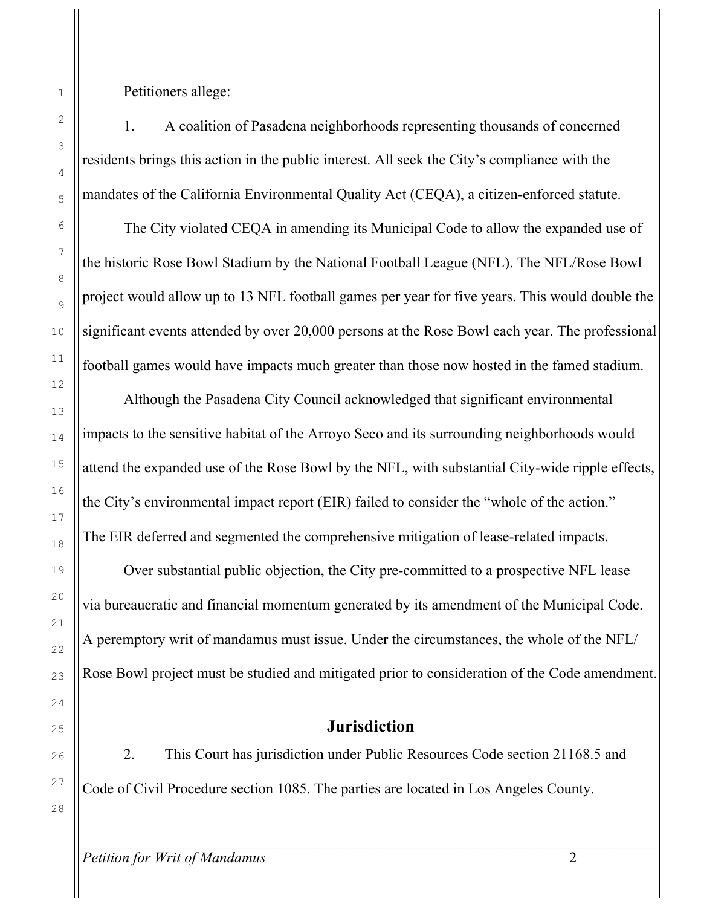Petitioners allege:

1. A coalition of Pasadena neighborhoods representing thousands of concerned residents brings this action in the public interest. All seek the City's compliance with the mandates of the California Environmental Quality Act (CEQA), a citizen-enforced statute.

The City violated CEQA in amending its Municipal Code to allow the expanded use of the historic Rose Bowl Stadium by the National Football League (NFL). The NFL/Rose Bowl project would allow up to 13 NFL football games per year for five years. This would double the significant events attended by over 20,000 persons at the Rose Bowl each year. The professional football games would have impacts much greater than those now hosted in the famed stadium.

Although the Pasadena City Council acknowledged that significant environmental impacts to the sensitive habitat of the Arroyo Seco and its surrounding neighborhoods would attend the expanded use of the Rose Bowl by the NFL, with substantial City-wide ripple effects, the City's environmental impact report (EIR) failed to consider the "whole of the action." The EIR deferred and segmented the comprehensive mitigation of lease-related impacts.

Over substantial public objection, the City pre-committed to a prospective NFL lease via bureaucratic and financial momentum generated by its amendment of the Municipal Code. A peremptory writ of mandamus must issue. Under the circumstances, the whole of the NFL/ Rose Bowl project must be studied and mitigated prior to consideration of the Code amendment.

### **Jurisdiction**

2. This Court has jurisdiction under Public Resources Code section 21168.5 and Code of Civil Procedure section 1085. The parties are located in Los Angeles County.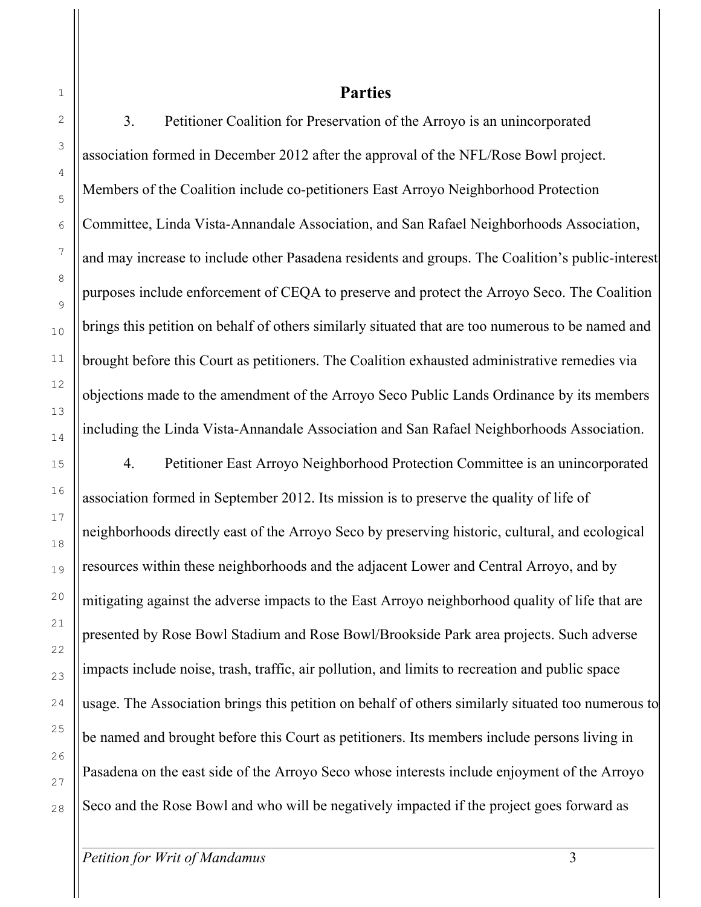21

22

23

24

25

26

27

28

#### **Parties**

3. Petitioner Coalition for Preservation of the Arroyo is an unincorporated association formed in December 2012 after the approval of the NFL/Rose Bowl project. Members of the Coalition include co-petitioners East Arroyo Neighborhood Protection Committee, Linda Vista-Annandale Association, and San Rafael Neighborhoods Association, and may increase to include other Pasadena residents and groups. The Coalition's public-interest purposes include enforcement of CEQA to preserve and protect the Arroyo Seco. The Coalition brings this petition on behalf of others similarly situated that are too numerous to be named and brought before this Court as petitioners. The Coalition exhausted administrative remedies via objections made to the amendment of the Arroyo Seco Public Lands Ordinance by its members including the Linda Vista-Annandale Association and San Rafael Neighborhoods Association.

4. Petitioner East Arroyo Neighborhood Protection Committee is an unincorporated association formed in September 2012. Its mission is to preserve the quality of life of neighborhoods directly east of the Arroyo Seco by preserving historic, cultural, and ecological resources within these neighborhoods and the adjacent Lower and Central Arroyo, and by mitigating against the adverse impacts to the East Arroyo neighborhood quality of life that are presented by Rose Bowl Stadium and Rose Bowl/Brookside Park area projects. Such adverse impacts include noise, trash, traffic, air pollution, and limits to recreation and public space usage. The Association brings this petition on behalf of others similarly situated too numerous to be named and brought before this Court as petitioners. Its members include persons living in Pasadena on the east side of the Arroyo Seco whose interests include enjoyment of the Arroyo Seco and the Rose Bowl and who will be negatively impacted if the project goes forward as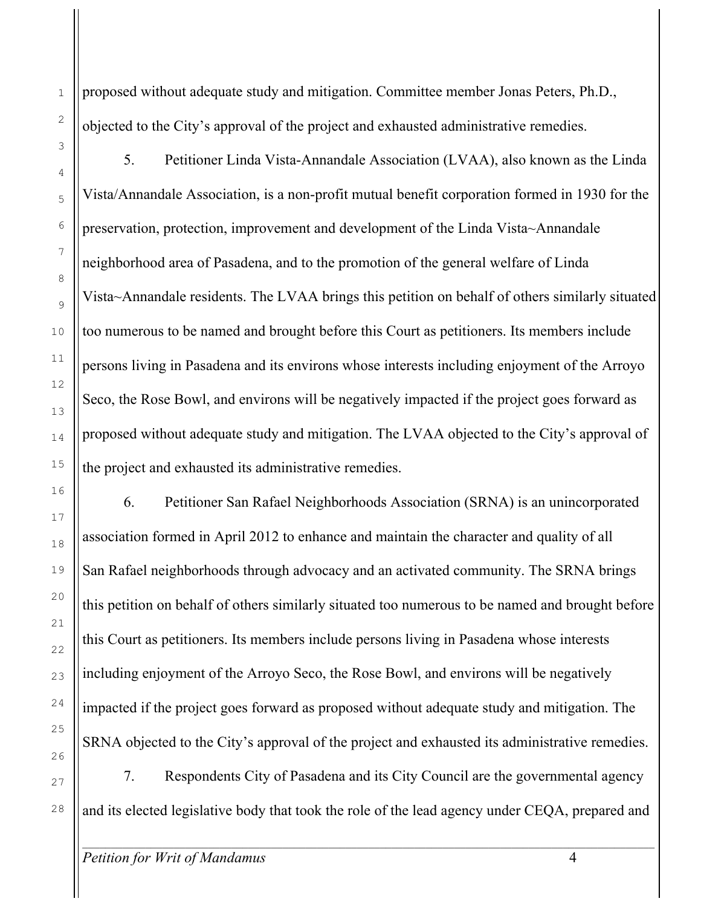proposed without adequate study and mitigation. Committee member Jonas Peters, Ph.D., objected to the City's approval of the project and exhausted administrative remedies.

5. Petitioner Linda Vista-Annandale Association (LVAA), also known as the Linda Vista/Annandale Association, is a non-profit mutual benefit corporation formed in 1930 for the preservation, protection, improvement and development of the Linda Vista~Annandale neighborhood area of Pasadena, and to the promotion of the general welfare of Linda Vista~Annandale residents. The LVAA brings this petition on behalf of others similarly situated too numerous to be named and brought before this Court as petitioners. Its members include persons living in Pasadena and its environs whose interests including enjoyment of the Arroyo Seco, the Rose Bowl, and environs will be negatively impacted if the project goes forward as proposed without adequate study and mitigation. The LVAA objected to the City's approval of the project and exhausted its administrative remedies.

6. Petitioner San Rafael Neighborhoods Association (SRNA) is an unincorporated association formed in April 2012 to enhance and maintain the character and quality of all San Rafael neighborhoods through advocacy and an activated community. The SRNA brings this petition on behalf of others similarly situated too numerous to be named and brought before this Court as petitioners. Its members include persons living in Pasadena whose interests including enjoyment of the Arroyo Seco, the Rose Bowl, and environs will be negatively impacted if the project goes forward as proposed without adequate study and mitigation. The SRNA objected to the City's approval of the project and exhausted its administrative remedies.

7. Respondents City of Pasadena and its City Council are the governmental agency and its elected legislative body that took the role of the lead agency under CEQA, prepared and

1

2

3

4

5

6

7

8

9

10

11

12

13

14

15

16

17

18

19

20

21

22

23

24

25

26

27

28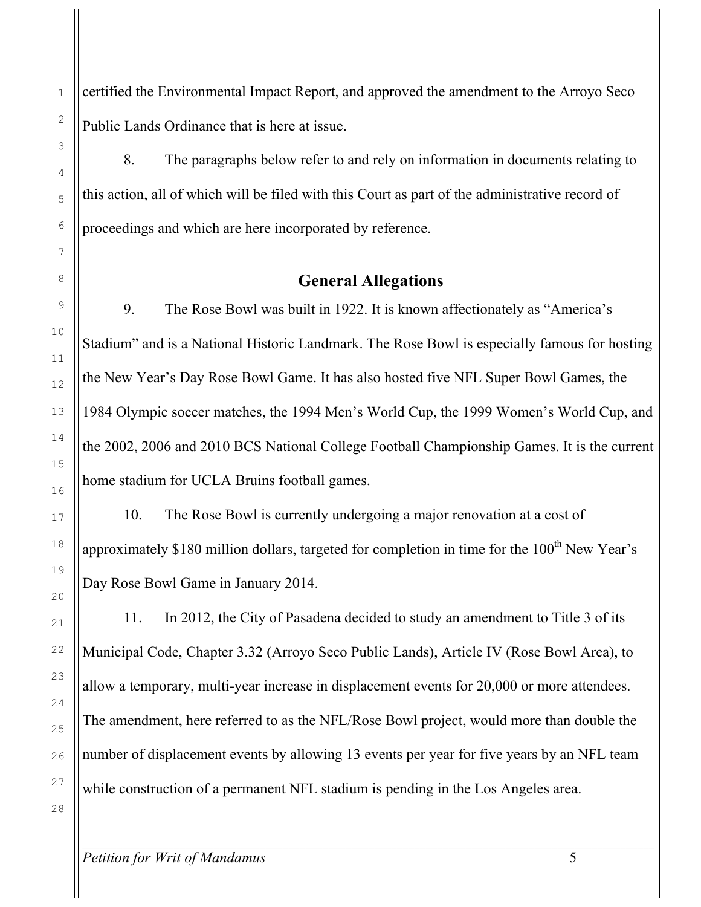certified the Environmental Impact Report, and approved the amendment to the Arroyo Seco Public Lands Ordinance that is here at issue.

8. The paragraphs below refer to and rely on information in documents relating to this action, all of which will be filed with this Court as part of the administrative record of proceedings and which are here incorporated by reference.

### **General Allegations**

9. The Rose Bowl was built in 1922. It is known affectionately as "America's Stadium" and is a National Historic Landmark. The Rose Bowl is especially famous for hosting the New Year's Day Rose Bowl Game. It has also hosted five NFL Super Bowl Games, the 1984 Olympic soccer matches, the 1994 Men's World Cup, the 1999 Women's World Cup, and the 2002, 2006 and 2010 BCS National College Football Championship Games. It is the current home stadium for UCLA Bruins football games.

10. The Rose Bowl is currently undergoing a major renovation at a cost of approximately \$180 million dollars, targeted for completion in time for the  $100<sup>th</sup>$  New Year's Day Rose Bowl Game in January 2014.

11. In 2012, the City of Pasadena decided to study an amendment to Title 3 of its Municipal Code, Chapter 3.32 (Arroyo Seco Public Lands), Article IV (Rose Bowl Area), to allow a temporary, multi-year increase in displacement events for 20,000 or more attendees. The amendment, here referred to as the NFL/Rose Bowl project, would more than double the number of displacement events by allowing 13 events per year for five years by an NFL team while construction of a permanent NFL stadium is pending in the Los Angeles area.

 $\mathcal{L}_\mathcal{L} = \{ \mathcal{L}_\mathcal{L} = \{ \mathcal{L}_\mathcal{L} = \{ \mathcal{L}_\mathcal{L} = \{ \mathcal{L}_\mathcal{L} = \{ \mathcal{L}_\mathcal{L} = \{ \mathcal{L}_\mathcal{L} = \{ \mathcal{L}_\mathcal{L} = \{ \mathcal{L}_\mathcal{L} = \{ \mathcal{L}_\mathcal{L} = \{ \mathcal{L}_\mathcal{L} = \{ \mathcal{L}_\mathcal{L} = \{ \mathcal{L}_\mathcal{L} = \{ \mathcal{L}_\mathcal{L} = \{ \mathcal{L}_\mathcal{$ 

1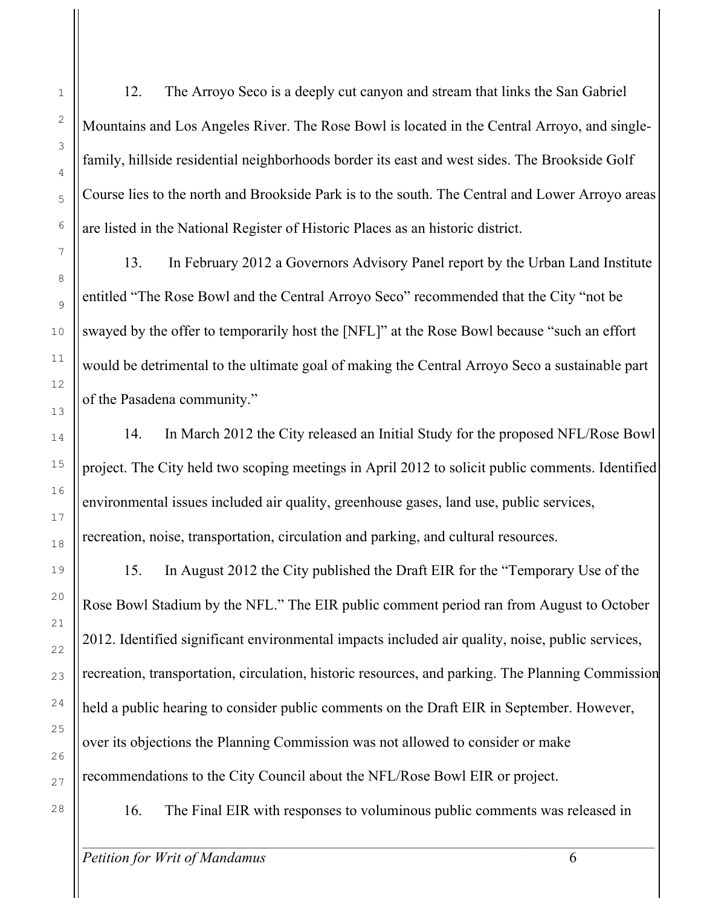12. The Arroyo Seco is a deeply cut canyon and stream that links the San Gabriel Mountains and Los Angeles River. The Rose Bowl is located in the Central Arroyo, and singlefamily, hillside residential neighborhoods border its east and west sides. The Brookside Golf Course lies to the north and Brookside Park is to the south. The Central and Lower Arroyo areas are listed in the National Register of Historic Places as an historic district.

13. In February 2012 a Governors Advisory Panel report by the Urban Land Institute entitled "The Rose Bowl and the Central Arroyo Seco" recommended that the City "not be swayed by the offer to temporarily host the [NFL]" at the Rose Bowl because "such an effort would be detrimental to the ultimate goal of making the Central Arroyo Seco a sustainable part of the Pasadena community."

14. In March 2012 the City released an Initial Study for the proposed NFL/Rose Bowl project. The City held two scoping meetings in April 2012 to solicit public comments. Identified environmental issues included air quality, greenhouse gases, land use, public services, recreation, noise, transportation, circulation and parking, and cultural resources.

15. In August 2012 the City published the Draft EIR for the "Temporary Use of the Rose Bowl Stadium by the NFL." The EIR public comment period ran from August to October 2012. Identified significant environmental impacts included air quality, noise, public services, recreation, transportation, circulation, historic resources, and parking. The Planning Commission held a public hearing to consider public comments on the Draft EIR in September. However, over its objections the Planning Commission was not allowed to consider or make recommendations to the City Council about the NFL/Rose Bowl EIR or project.

16. The Final EIR with responses to voluminous public comments was released in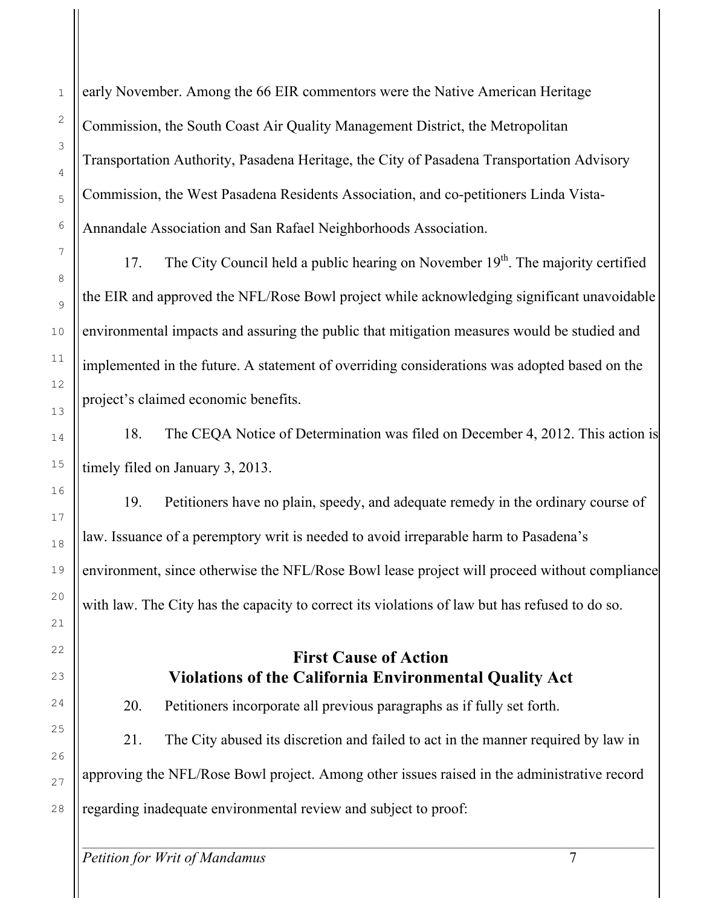early November. Among the 66 EIR commentors were the Native American Heritage Commission, the South Coast Air Quality Management District, the Metropolitan Transportation Authority, Pasadena Heritage, the City of Pasadena Transportation Advisory Commission, the West Pasadena Residents Association, and co-petitioners Linda Vista-Annandale Association and San Rafael Neighborhoods Association.

17. The City Council held a public hearing on November  $19<sup>th</sup>$ . The majority certified the EIR and approved the NFL/Rose Bowl project while acknowledging significant unavoidable environmental impacts and assuring the public that mitigation measures would be studied and implemented in the future. A statement of overriding considerations was adopted based on the project's claimed economic benefits.

18. The CEQA Notice of Determination was filed on December 4, 2012. This action is timely filed on January 3, 2013.

19. Petitioners have no plain, speedy, and adequate remedy in the ordinary course of law. Issuance of a peremptory writ is needed to avoid irreparable harm to Pasadena's environment, since otherwise the NFL/Rose Bowl lease project will proceed without compliance with law. The City has the capacity to correct its violations of law but has refused to do so.

## **First Cause of Action Violations of the California Environmental Quality Act**

20. Petitioners incorporate all previous paragraphs as if fully set forth.

21. The City abused its discretion and failed to act in the manner required by law in approving the NFL/Rose Bowl project. Among other issues raised in the administrative record regarding inadequate environmental review and subject to proof:

 $\mathcal{L}_\mathcal{L} = \{ \mathcal{L}_\mathcal{L} = \{ \mathcal{L}_\mathcal{L} = \{ \mathcal{L}_\mathcal{L} = \{ \mathcal{L}_\mathcal{L} = \{ \mathcal{L}_\mathcal{L} = \{ \mathcal{L}_\mathcal{L} = \{ \mathcal{L}_\mathcal{L} = \{ \mathcal{L}_\mathcal{L} = \{ \mathcal{L}_\mathcal{L} = \{ \mathcal{L}_\mathcal{L} = \{ \mathcal{L}_\mathcal{L} = \{ \mathcal{L}_\mathcal{L} = \{ \mathcal{L}_\mathcal{L} = \{ \mathcal{L}_\mathcal{$ 

1

2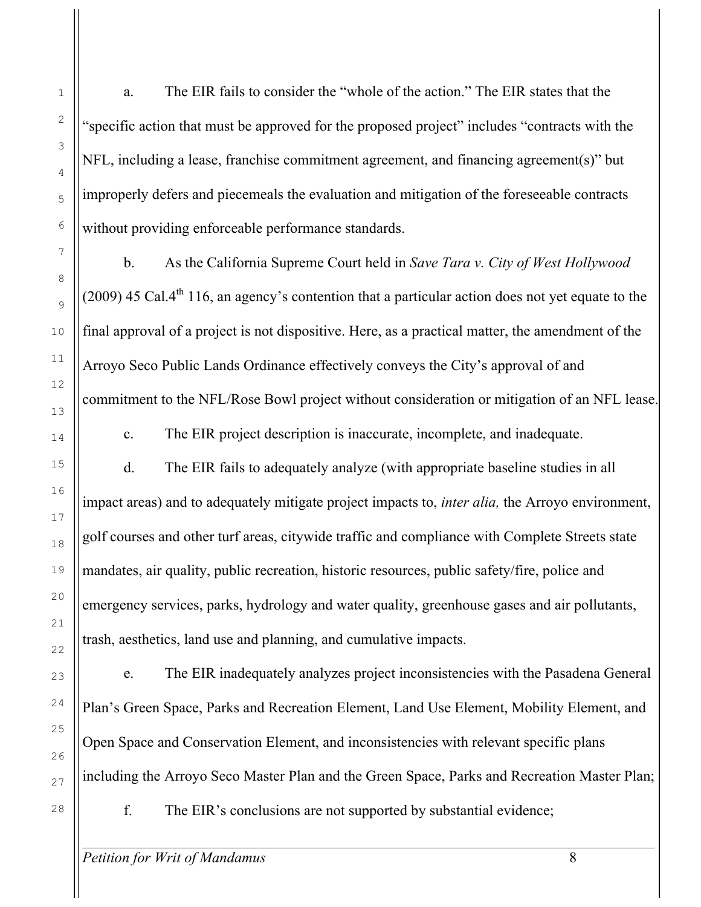a. The EIR fails to consider the "whole of the action." The EIR states that the "specific action that must be approved for the proposed project" includes "contracts with the NFL, including a lease, franchise commitment agreement, and financing agreement(s)" but improperly defers and piecemeals the evaluation and mitigation of the foreseeable contracts without providing enforceable performance standards.

b. As the California Supreme Court held in *Save Tara v. City of West Hollywood* (2009) 45 Cal.4<sup>th</sup> 116, an agency's contention that a particular action does not yet equate to the final approval of a project is not dispositive. Here, as a practical matter, the amendment of the Arroyo Seco Public Lands Ordinance effectively conveys the City's approval of and commitment to the NFL/Rose Bowl project without consideration or mitigation of an NFL lease.

c. The EIR project description is inaccurate, incomplete, and inadequate.

d. The EIR fails to adequately analyze (with appropriate baseline studies in all impact areas) and to adequately mitigate project impacts to, *inter alia,* the Arroyo environment, golf courses and other turf areas, citywide traffic and compliance with Complete Streets state mandates, air quality, public recreation, historic resources, public safety/fire, police and emergency services, parks, hydrology and water quality, greenhouse gases and air pollutants, trash, aesthetics, land use and planning, and cumulative impacts.

e. The EIR inadequately analyzes project inconsistencies with the Pasadena General Plan's Green Space, Parks and Recreation Element, Land Use Element, Mobility Element, and Open Space and Conservation Element, and inconsistencies with relevant specific plans including the Arroyo Seco Master Plan and the Green Space, Parks and Recreation Master Plan;

f. The EIR's conclusions are not supported by substantial evidence;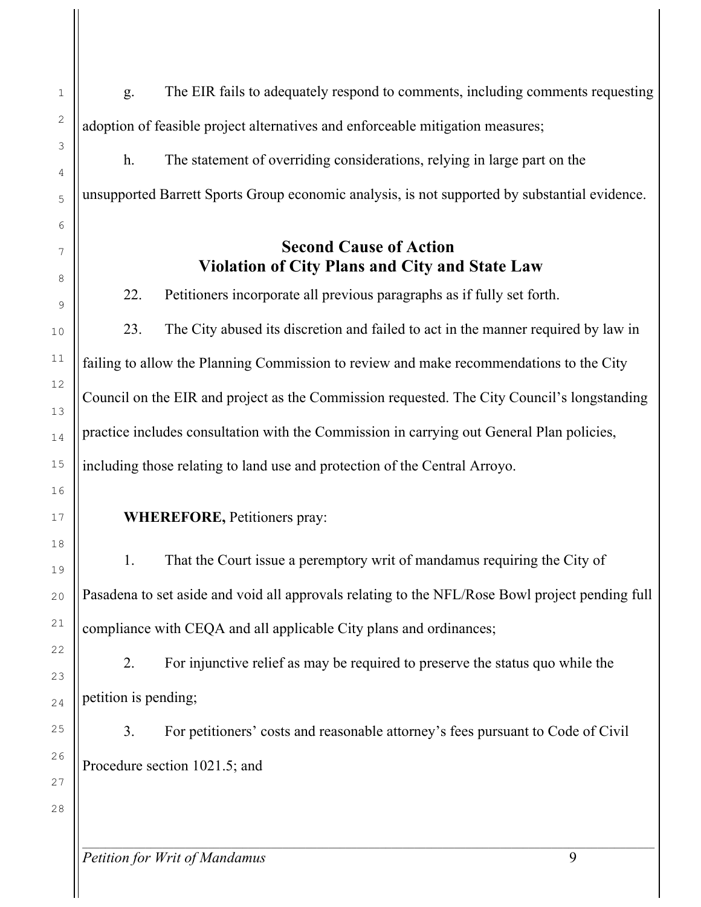g. The EIR fails to adequately respond to comments, including comments requesting adoption of feasible project alternatives and enforceable mitigation measures;

h. The statement of overriding considerations, relying in large part on the unsupported Barrett Sports Group economic analysis, is not supported by substantial evidence.

### **Second Cause of Action Violation of City Plans and City and State Law**

22. Petitioners incorporate all previous paragraphs as if fully set forth.

23. The City abused its discretion and failed to act in the manner required by law in failing to allow the Planning Commission to review and make recommendations to the City Council on the EIR and project as the Commission requested. The City Council's longstanding practice includes consultation with the Commission in carrying out General Plan policies, including those relating to land use and protection of the Central Arroyo.

#### **WHEREFORE,** Petitioners pray:

1. That the Court issue a peremptory writ of mandamus requiring the City of Pasadena to set aside and void all approvals relating to the NFL/Rose Bowl project pending full compliance with CEQA and all applicable City plans and ordinances;

2. For injunctive relief as may be required to preserve the status quo while the petition is pending;

3. For petitioners' costs and reasonable attorney's fees pursuant to Code of Civil Procedure section 1021.5; and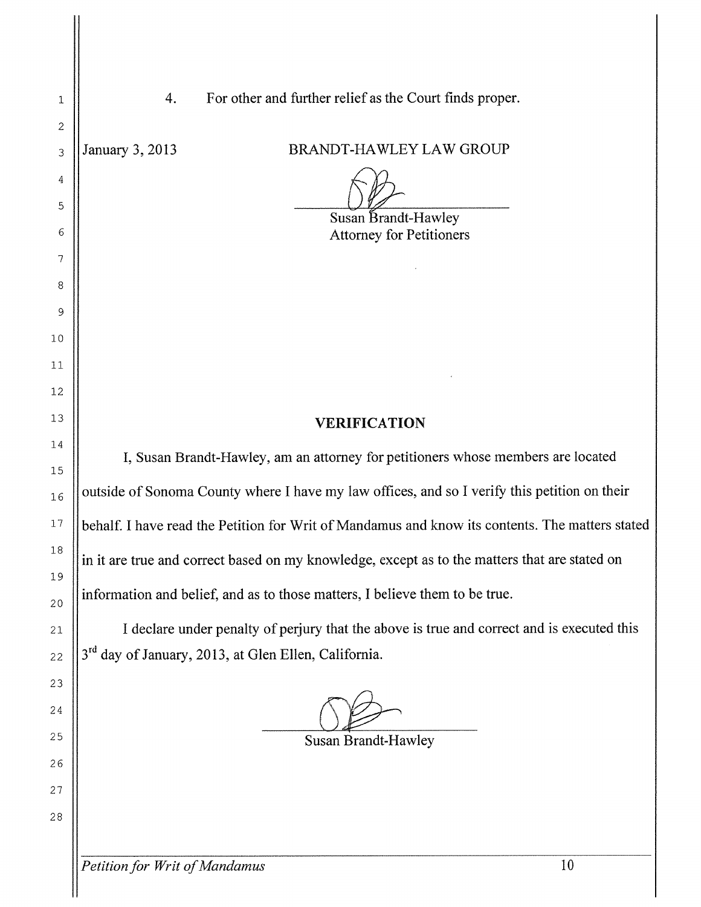| 1        | For other and further relief as the Court finds proper.<br>4.                                   |  |  |
|----------|-------------------------------------------------------------------------------------------------|--|--|
| 2        |                                                                                                 |  |  |
| 3        | BRANDT-HAWLEY LAW GROUP<br>January 3, 2013                                                      |  |  |
| 4        |                                                                                                 |  |  |
| 5        | Susan Brandt-Hawley                                                                             |  |  |
| 6        | <b>Attorney for Petitioners</b>                                                                 |  |  |
| 7        |                                                                                                 |  |  |
| 8        |                                                                                                 |  |  |
| 9        |                                                                                                 |  |  |
| 10       |                                                                                                 |  |  |
| 11       |                                                                                                 |  |  |
| 12       |                                                                                                 |  |  |
| 13       | <b>VERIFICATION</b>                                                                             |  |  |
| 14       | I, Susan Brandt-Hawley, am an attorney for petitioners whose members are located                |  |  |
| 15       |                                                                                                 |  |  |
| 16       | outside of Sonoma County where I have my law offices, and so I verify this petition on their    |  |  |
| 17       | behalf. I have read the Petition for Writ of Mandamus and know its contents. The matters stated |  |  |
| 18       | in it are true and correct based on my knowledge, except as to the matters that are stated on   |  |  |
| 19       | information and belief, and as to those matters, I believe them to be true.                     |  |  |
| 20<br>21 | I declare under penalty of perjury that the above is true and correct and is executed this      |  |  |
| 22       | 3 <sup>rd</sup> day of January, 2013, at Glen Ellen, California.                                |  |  |
| 23       |                                                                                                 |  |  |
| 24       |                                                                                                 |  |  |
| 25       |                                                                                                 |  |  |
| 26       | Susan Brandt-Hawley                                                                             |  |  |
| 27       |                                                                                                 |  |  |
| 28       |                                                                                                 |  |  |
|          |                                                                                                 |  |  |

 $\mathop{||}$